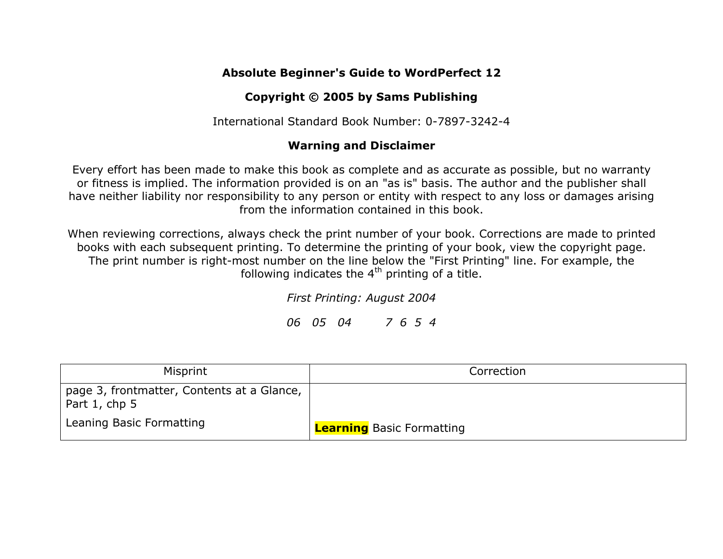## **Absolute Beginner's Guide to WordPerfect 12**

## **Copyright © 2005 by Sams Publishing**

International Standard Book Number: 0-7897-3242-4

## **Warning and Disclaimer**

Every effort has been made to make this book as complete and as accurate as possible, but no warranty or fitness is implied. The information provided is on an "as is" basis. The author and the publisher shall have neither liability nor responsibility to any person or entity with respect to any loss or damages arising from the information contained in this book.

When reviewing corrections, always check the print number of your book. Corrections are made to printed books with each subsequent printing. To determine the printing of your book, view the copyright page. The print number is right-most number on the line below the "First Printing" line. For example, the following indicates the  $4<sup>th</sup>$  printing of a title.

*First Printing: August 2004*

*06 05 04 7 6 5 4*

| Misprint                                                    | Correction                       |
|-------------------------------------------------------------|----------------------------------|
| page 3, frontmatter, Contents at a Glance,<br>Part 1, chp 5 |                                  |
| Leaning Basic Formatting                                    | <b>Learning</b> Basic Formatting |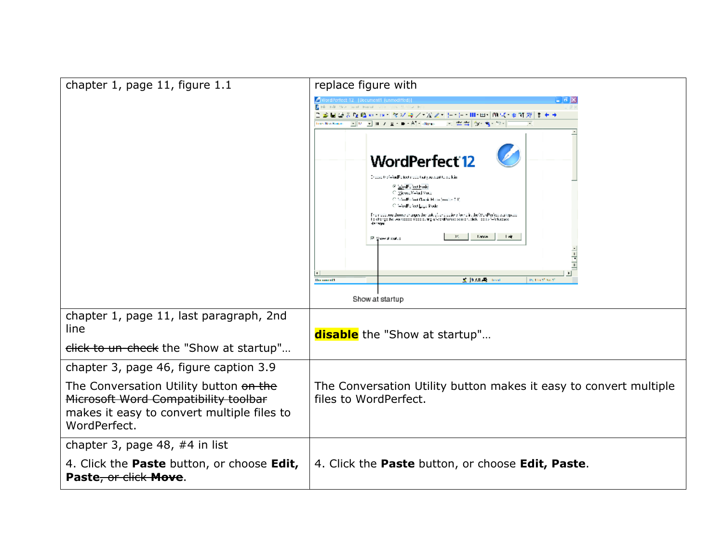| chapter 1, page 11, figure 1.1                                                                                                               | replace figure with                                                                                                                                                                                                                                                                                                                                                                                                               |
|----------------------------------------------------------------------------------------------------------------------------------------------|-----------------------------------------------------------------------------------------------------------------------------------------------------------------------------------------------------------------------------------------------------------------------------------------------------------------------------------------------------------------------------------------------------------------------------------|
|                                                                                                                                              | A<br>WordPerfect 12 [Document1 (unmodified)<br>- 62<br>de Fili New York Forced 121                                                                                                                                                                                                                                                                                                                                                |
|                                                                                                                                              | 12 国は安心職の コータジネノ * 光之* ト・汗・Ⅲ・田・  00 ぱ・ぉ \$1 浮  まそう                                                                                                                                                                                                                                                                                                                                                                                |
|                                                                                                                                              | $\mathbb{E}\left[\left\Vert D_{i}-\mathbf{v}\right\Vert \right]\left\Vert \mathbf{1}-\mathbf{y}\right\Vert \right]\leq\mathbb{E}\left[\left\Vert \mathbf{B}\right\Vert \right]\cdot\mathsf{A}\left[\mathbf{1}-\mathsf{B}\right]\text{ where }% \mathbb{E}\left[\left\Vert \mathbf{B}\right\Vert \right] \geq\mathsf{A}\left[\left\Vert \mathbf{B}\right\Vert \right]$<br>人名西                                                      |
|                                                                                                                                              | <b>WordPerfect 12</b><br>Indoor the WorlF please policitaty or work to work in:<br>@ EucFalcothode<br>C MesselWad Voca<br>C. MorFanot Conic Haio Andre 2 C.<br>C WodFered Japan Kode<br>Framade you droote thanges the look of and culore found in the WarPerfect waiting.com<br>To sharge the weinsacce your culing of Verdiferies: senior, slick floods "-folkspace<br><b>Lance</b><br>$\frac{1}{2}$<br><b>M. Show shapedup</b> |
|                                                                                                                                              | <b>SCIENTIFICATION</b><br>Publical Act<br><b>Distanced</b>                                                                                                                                                                                                                                                                                                                                                                        |
|                                                                                                                                              | Show at startup                                                                                                                                                                                                                                                                                                                                                                                                                   |
| chapter 1, page 11, last paragraph, 2nd<br>line                                                                                              | <b>disable</b> the "Show at startup"                                                                                                                                                                                                                                                                                                                                                                                              |
| click to un-check the "Show at startup"                                                                                                      |                                                                                                                                                                                                                                                                                                                                                                                                                                   |
| chapter 3, page 46, figure caption 3.9                                                                                                       |                                                                                                                                                                                                                                                                                                                                                                                                                                   |
| The Conversation Utility button on the<br>Microsoft Word Compatibility toolbar<br>makes it easy to convert multiple files to<br>WordPerfect. | The Conversation Utility button makes it easy to convert multiple<br>files to WordPerfect.                                                                                                                                                                                                                                                                                                                                        |
| chapter 3, page 48, $#4$ in list                                                                                                             |                                                                                                                                                                                                                                                                                                                                                                                                                                   |
| 4. Click the <b>Paste</b> button, or choose <b>Edit,</b><br>Paste, or click Move.                                                            | 4. Click the Paste button, or choose Edit, Paste.                                                                                                                                                                                                                                                                                                                                                                                 |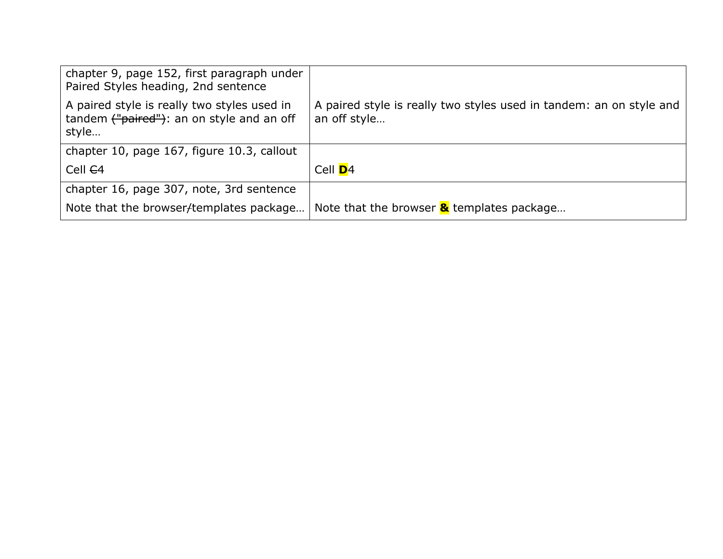| chapter 9, page 152, first paragraph under<br>Paired Styles heading, 2nd sentence                 |                                                                                     |
|---------------------------------------------------------------------------------------------------|-------------------------------------------------------------------------------------|
| A paired style is really two styles used in<br>tandem ("paired"): an on style and an off<br>style | A paired style is really two styles used in tandem: an on style and<br>an off style |
| chapter 10, page 167, figure 10.3, callout                                                        |                                                                                     |
| Cell <del>C</del> 4                                                                               | Cell <b>D</b> 4                                                                     |
| chapter 16, page 307, note, 3rd sentence                                                          |                                                                                     |
| Note that the browser/templates package                                                           | Note that the browser $\&$ templates package                                        |